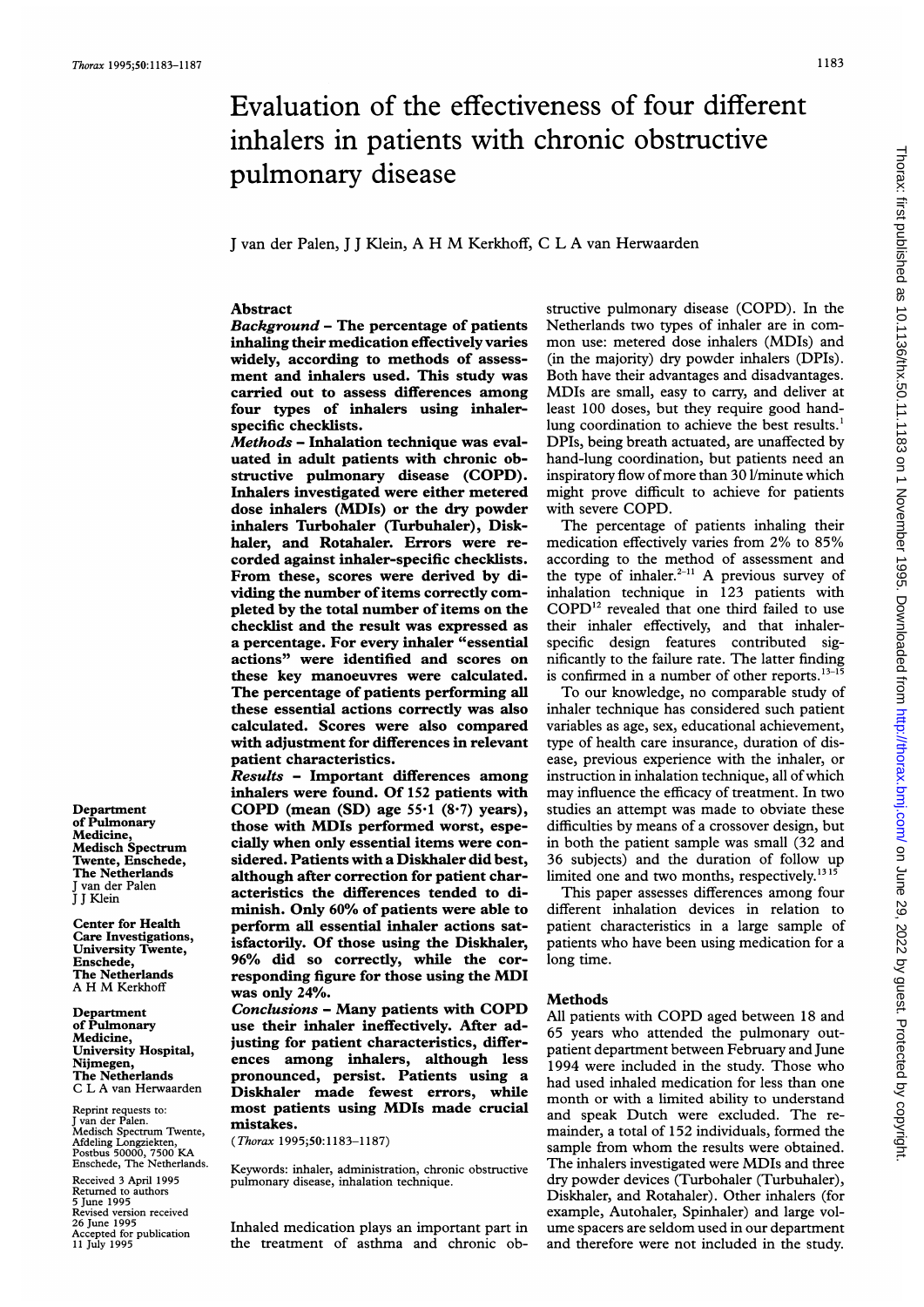# Evaluation of the effectiveness of four different inhalers in patients with chronic obstructive pulmonary disease

<sup>J</sup> van der Palen, <sup>J</sup> <sup>J</sup> Klein, A H M Kerkhoff, <sup>C</sup> <sup>L</sup> A van Herwaarden

# Abstract

Background - The percentage of patients inhaling their medication effectively varies widely, according to methods of assessment and inhalers used. This study was carried out to assess differences among four types of inhalers using inhalerspecific checklists.

Methods - Inhalation technique was evaluated in adult patients with chronic obstructive pulmonary disease (COPD). Inhalers investigated were either metered dose inhalers (MDIs) or the dry powder inhalers Turbohaler (Turbuhaler), Diskhaler, and Rotahaler. Errors were recorded against inhaler-specific checklists. From these, scores were derived by dividing the number of items correctly completed by the total number of items on the checklist and the result was expressed as a percentage. For every inhaler "essential actions" were identified and scores on these key manoeuvres were calculated. The percentage of patients performing all these essential actions correctly was also calculated. Scores were also compared with adjustment for differences in relevant patient characteristics.

Results - Important differences among inhalers were found. Of 152 patients with COPD (mean  $(SD)$  age 55 $\cdot$ 1  $(8\cdot7)$  years), those with MDIs performed worst, especially when only essential items were considered. Patients with a Diskhaler did best, although after correction for patient characteristics the differences tended to diminish. Only 60% of patients were able to perform all essential inhaler actions satisfactorily. Of those using the Diskhaler, 96% did so correctly, while the corresponding figure for those using the MDI was only 24%.

Conclusions - Many patients with COPD use their inhaler ineffectively. After adjusting for patient characteristics, differences among inhalers, although less pronounced, persist. Patients using a Diskhaler made fewest errors, while most patients using MDIs made crucial mistakes.

(Thorax 1995;50:1183-1187)

Keywords: inhaler, administration, chronic obstructive pulmonary disease, inhalation technique.

Inhaled medication plays an important part in the treatment of asthma and chronic ob-

structive pulmonary disease (COPD). In the Netherlands two types of inhaler are in common use: metered dose inhalers (MDIs) and (in the majority) dry powder inhalers (DPIs). Both have their advantages and disadvantages. MDIs are small, easy to carry, and deliver at least 100 doses, but they require good handlung coordination to achieve the best results.<sup>1</sup> DPIs, being breath actuated, are unaffected by hand-lung coordination, but patients need an inspiratory flow of more than 30 l/minute which might prove difficult to achieve for patients with severe COPD.

The percentage of patients inhaling their medication effectively varies from 2% to 85% according to the method of assessment and the type of inhaler. $2-11$  A previous survey of inhalation technique in 123 patients with COPD<sup>12</sup> revealed that one third failed to use their inhaler effectively, and that inhalerspecific design features contributed significantly to the failure rate. The latter finding is confirmed in a number of other reports.  $13-15$ 

To our knowledge, no comparable study of inhaler technique has considered such patient variables as age, sex, educational achievement, type of health care insurance, duration of disease, previous experience with the inhaler, or instruction in inhalation technique, all of which may influence the efficacy of treatment. In two studies an attempt was made to obviate these difficulties by means of a crossover design, but in both the patient sample was small (32 and 36 subjects) and the duration of follow up limited one and two months, respectively. $1315$ 

This paper assesses differences among four different inhalation devices in relation to patient characteristics in a large sample of patients who have been using medication for <sup>a</sup> long time.

#### Methods

All patients with COPD aged between <sup>18</sup> and 65 years who attended the pulmonary outpatient department between February and June 1994 were included in the study. Those who had used inhaled medication for less than one month or with a limited ability to understand and speak Dutch were excluded. The remainder, a total of 152 individuals, formed the sample from whom the results were obtained. The inhalers investigated were MDIs and three dry powder devices (Turbohaler (Turbuhaler), Diskhaler, and Rotahaler). Other inhalers (for example, Autohaler, Spinhaler) and large volume spacers are seldom used in our department and therefore were not included in the study.

Department of Pulmonary Medicine, Medisch Spectrum Twente, Enschede, The Netherlands J van der Palen I J Klein

Center for Health Care Investigations, University Twente, Enschede, The Netherlands A H M Kerkhoff

Department of Pulmonary Medicine, University Hospital, Nijmegen, The Netherlands C L A van Herwaarden

Reprint requests to: J van der Palen. Medisch Spectrum Twente, Afdeling Longziekten, Postbus 50000, 7500 KA Enschede, The Netherlands. Received 3 April 1995 Returned to authors 5 June 1995 Revised version received 26 June 1995 Accepted for publication 11 July 1995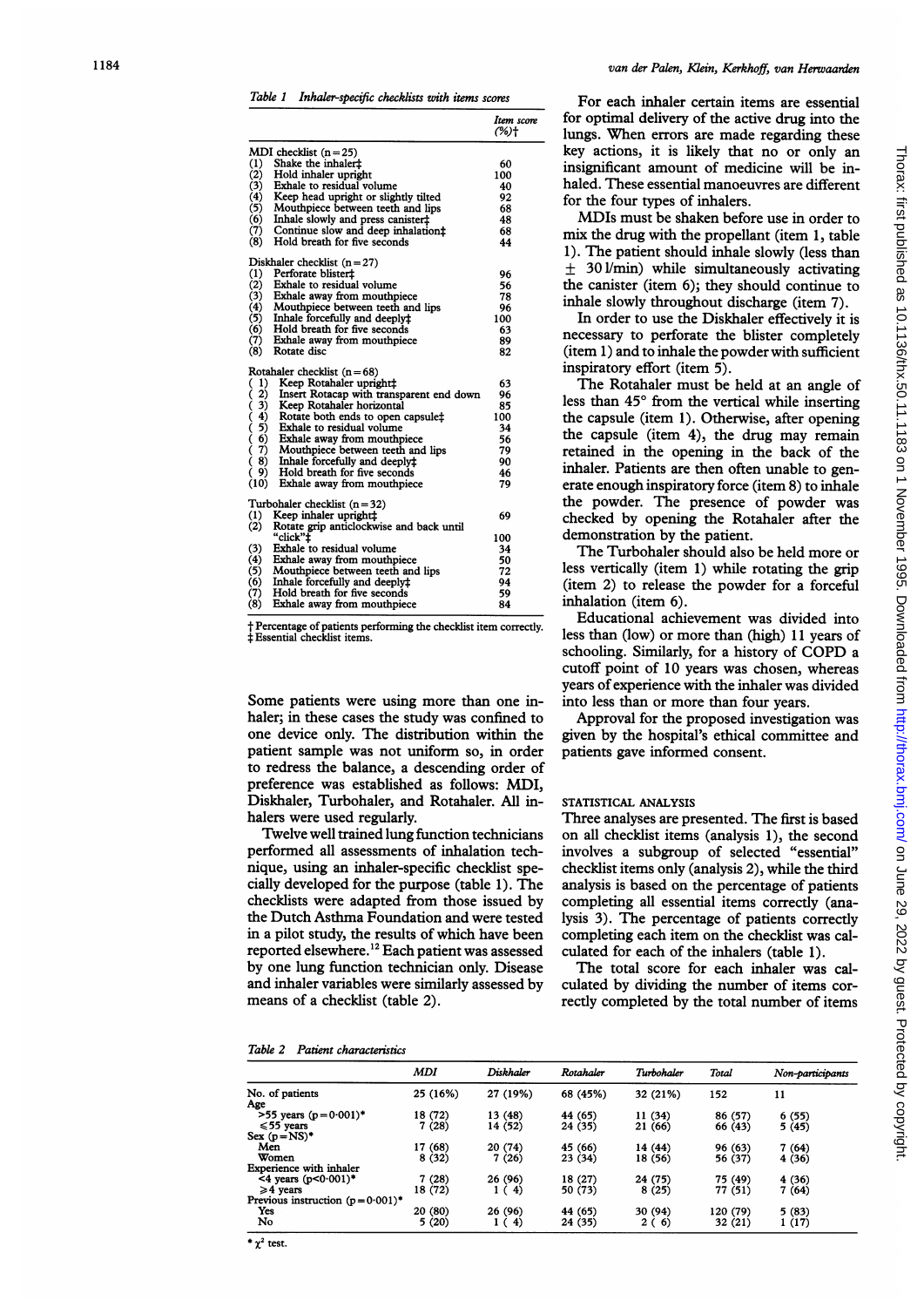|                                                          | Item score<br>(%)ተ |
|----------------------------------------------------------|--------------------|
| MDI checklist $(n=25)$                                   |                    |
| $\left(1\right)$<br>Shake the inhaler <sup>+</sup>       | 60                 |
| (2)<br>Hold inhaler upright                              | 100                |
| (3)<br>Exhale to residual volume                         | 40                 |
| (4)<br>Keep head upright or slightly tilted              | 92                 |
| (5)<br>Mouthpiece between teeth and lips                 | 68                 |
| (6)<br>Inhale slowly and press canister‡                 | 48                 |
| (7)<br>Continue slow and deep inhalation:                | 68                 |
| (8)<br>Hold breath for five seconds                      | 44                 |
| Diskhaler checklist $(n=27)$                             |                    |
| $\left(1\right)$<br>Perforate blister‡                   | 96                 |
| (2)<br>Exhale to residual volume                         | 56                 |
| (3)<br>Exhale away from mouthpiece                       | 78                 |
| (4)<br>Mouthpiece between teeth and lips                 | 96                 |
| (5)<br>Inhale forcefully and deeply‡                     | 100                |
| (6)<br>Hold breath for five seconds                      | 63                 |
| (7)<br>Exhale away from mouthpiece                       | 89                 |
| (8)<br>Rotate disc                                       | 82                 |
| Rotahaler checklist $(n=68)$                             |                    |
| $_{1}$<br>Keep Rotahaler upright‡                        | 63                 |
| 2)<br>くくくくくく<br>Insert Rotacap with transparent end down | 96                 |
| 3)<br>Keep Rotahaler horizontal                          | 85                 |
| 4)<br>Rotate both ends to open capsule‡                  | 100                |
| 5)<br>Exhale to residual volume                          | 34                 |
| 6)<br>Exhale away from mouthpiece                        | 56                 |
| 7)<br>Mouthpiece between teeth and lips                  | 79                 |
| Ó<br>8)<br>Inhale forcefully and deeply‡                 | 90                 |
| 9)<br>Hold breath for five seconds                       | 46                 |
| (10) Exhale away from mouthpiece                         | 79                 |
| Turbohaler checklist $(n=32)$                            |                    |
| (1)<br>Keep inhaler upright#<br>(2)                      | 69                 |
| Rotate grip anticlockwise and back until<br>"click"‡     | 100                |
| (3)<br>Exhale to residual volume                         | 34                 |
| (4)<br>Exhale away from mouthpiece                       | 50                 |
| (5)<br>Mouthpiece between teeth and lips                 | 72                 |
| (6)<br>Inhale forcefully and deeplyt                     | 94                 |
| (7)<br>Hold breath for five seconds                      | 59                 |
| (8)<br>Exhale away from mouthpiece                       | 84                 |

t Percentage of patients performing the checklist item correctly. t Essential checklist items.

Some patients were using more than one inhaler; in these cases the study was confined to one device only. The distribution within the patient sample was not uniform so, in order to redress the balance, a descending order of preference was established as follows: MDI, Diskhaler, Turbohaler, and Rotahaler. All inhalers were used regularly.

Twelve well trained lung function technicians performed all assessments of inhalation technique, using an inhaler-specific checklist specially developed for the purpose (table 1). The checklists were adapted from those issued by the Dutch Asthma Foundation and were tested in a pilot study, the results of which have been reported elsewhere.<sup>12</sup> Each patient was assessed by one lung function technician only. Disease and inhaler variables were similarly assessed by means of a checklist (table 2).

| Table 2<br>Patient characteristics |
|------------------------------------|
|------------------------------------|

#### van der Palen, Klein, Kerkhoff, van Herwaarden

For each inhaler certain items are essential for optimal delivery of the active drug into the lungs. When errors are made regarding these key actions, it is likely that no or only an insignificant amount of medicine will be inhaled. These essential manoeuvres are different for the four types of inhalers.

MDIs must be shaken before use in order to mix the drug with the propellant (item 1, table 1). The patient should inhale slowly (less than  $\pm$  301/min) while simultaneously activating the canister (item 6); they should continue to inhale slowly throughout discharge (item 7).

In order to use the Diskhaler effectively it is necessary to perforate the blister completely (item 1) and to inhale the powder with sufficient inspiratory effort (item 5).

The Rotahaler must be held at an angle of less than 45° from the vertical while inserting the capsule (item 1). Otherwise, after opening the capsule (item 4), the drug may remain retained in the opening in the back of the inhaler. Patients are then often unable to generate enough inspiratory force (item 8) to inhale the powder. The presence of powder was checked by opening the Rotahaler after the demonstration by the patient.

The Turbohaler should also be held more or less vertically (item 1) while rotating the grip (item 2) to release the powder for a forceful inhalation (item 6).

Educational achievement was divided into less than (low) or more than (high) 11 years of schooling. Similarly, for <sup>a</sup> history of COPD a cutoff point of 10 years was chosen, whereas years of experience with the inhaler was divided into less than or more than four years.

Approval for the proposed investigation was given by the hospital's ethical committee and patients gave informed consent.

### STATISTICAL ANALYSIS

Three analyses are presented. The first is based on all checklist items (analysis 1), the second involves a subgroup of selected "essential" checklist items only (analysis 2), while the third analysis is based on the percentage of patients completing all essential items correctly (analysis 3). The percentage of patients correctly completing each item on the checklist was calculated for each of the inhalers (table 1).

The total score for each inhaler was calculated by dividing the number of items correctly completed by the total number of items

|                                    | MDI      | Diskhaler | Rotahaler | Turbohaler | Total    | Non-participants |
|------------------------------------|----------|-----------|-----------|------------|----------|------------------|
| No. of patients                    | 25 (16%) | 27 (19%)  | 68 (45%)  | 32 (21%)   | 152      | 11               |
| Age                                |          |           |           |            |          |                  |
| $>55$ years (p=0.001)*             | 18 (72)  | 13 (48)   | 44 (65)   | 11 (34)    | 86 (57)  | 6(55)            |
| $\leq 55$ years                    | 7(28)    | 14 (52)   | 24 (35)   | 21 (66)    | 66 (43)  | 5(45)            |
| Sex $(p=NS)^*$                     |          |           |           |            |          |                  |
| Men                                | 17 (68)  | 20 (74)   | 45 (66)   | 14 (44)    | 96 (63)  | 7(64)            |
| Women                              | 8(32)    | 7(26)     | 23 (34)   | 18 (56)    | 56 (37)  | 4(36)            |
| <b>Experience with inhaler</b>     |          |           |           |            |          |                  |
| $4$ years (p<0.001)*               | 7(28)    | 26 (96)   | 18 (27)   | 24 (75)    | 75 (49)  | 4 (36)           |
| $\geq 4$ years                     | 18 (72)  | -4)       | 50 (73)   | 8(25)      | 77 (51)  | 7(64)            |
| Previous instruction $(p=0.001)^*$ |          |           |           |            |          |                  |
| Yes                                | 20 (80)  | 26 (96)   | 44 (65)   | 30 (94)    | 120 (79) | 5(83)            |
| No                                 | 5 (20)   | 4)<br>1 ( | 24 (35)   | 2(6)       | 32 (21)  | 1(17)            |

on June 29, 2022 by guest. Protected by copyright. <http://thorax.bmj.com/> Thorax: first published as 10.1136/thx.50.11.1183 on 1 November 1995. Downloaded from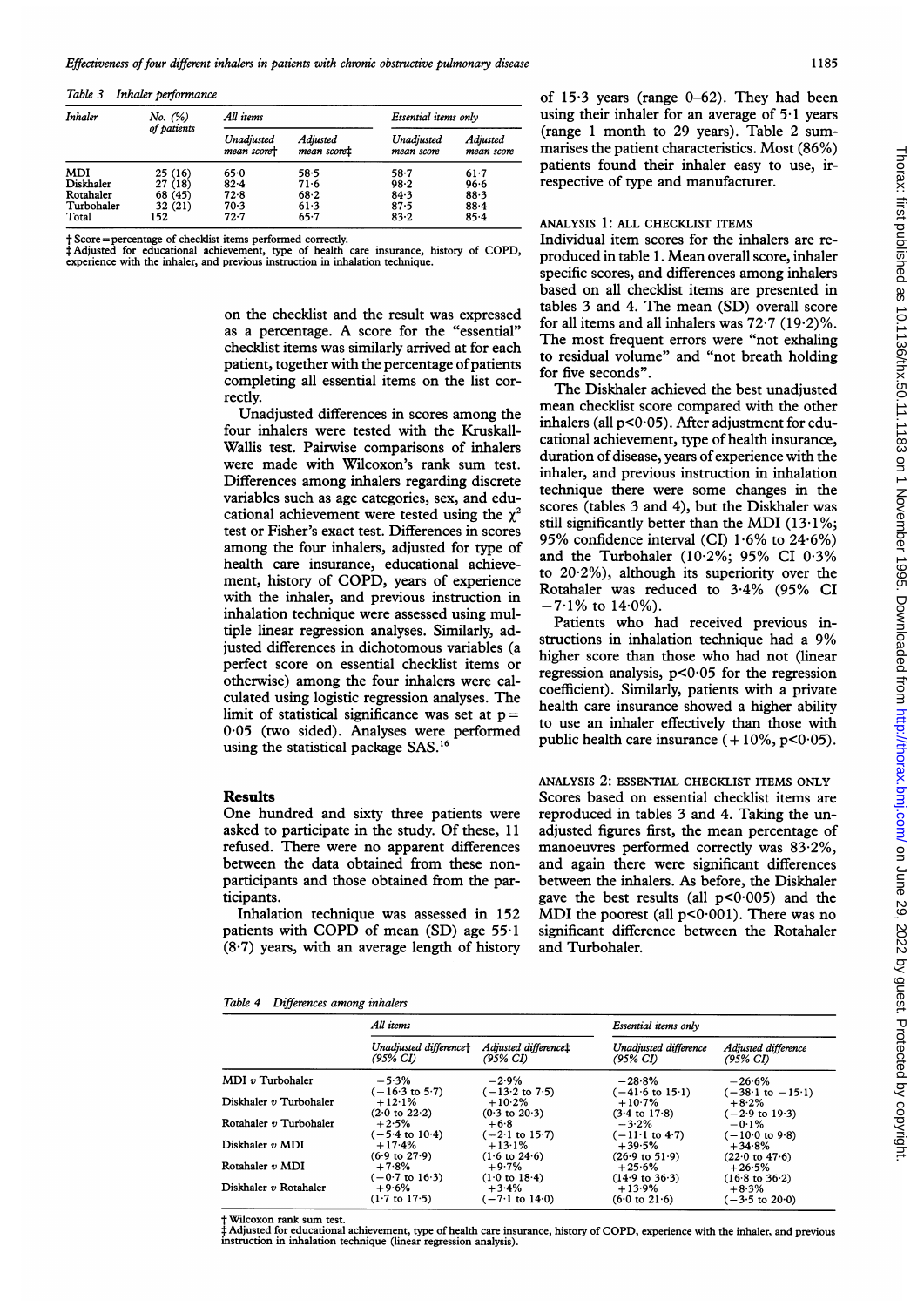Table 3 Inhaler performance

| Inhaler    | No. (%)<br>of patients | All items                 |                         | Essential items only     |                        |
|------------|------------------------|---------------------------|-------------------------|--------------------------|------------------------|
|            |                        | Unadjusted<br>mean scoret | Adjusted<br>mean scoret | Unadjusted<br>mean score | Adjusted<br>mean score |
| MDI        | 25(16)                 | 65.0                      | 58.5                    | $58 - 7$                 | $61-7$                 |
| Diskhaler  | 27 (18)                | $82 - 4$                  | 71.6                    | 98.2                     | 96.6                   |
| Rotahaler  | 68 (45)                | 72.8                      | 68.2                    | 84.3                     | 88.3                   |
| Turbohaler | 32 (21)                | 70.3                      | 61.3                    | 87.5                     | 88.4                   |
| Total      | 152                    | $72 - 7$                  | $65 - 7$                | 83.2                     | 85.4                   |

t Score =percentage of checklist items performed correctly. <sup>t</sup> Adjusted for educational achievement, type of health care insurance, history of COPD, experience with the inhaler, and previous instruction in inhalation technique.

> on the checklist and the result was expressed as <sup>a</sup> percentage. A score for the "essential" checklist items was similarly arrived at for each patient, together with the percentage of patients completing all essential items on the list correctly.

> Unadjusted differences in scores among the four inhalers were tested with the Kruskall-Wallis test. Pairwise comparisons of inhalers were made with Wilcoxon's rank sum test. Differences among inhalers regarding discrete variables such as age categories, sex, and educational achievement were tested using the  $\gamma^2$ test or Fisher's exact test. Differences in scores among the four inhalers, adjusted for type of health care insurance, educational achievement, history of COPD, years of experience with the inhaler, and previous instruction in inhalation technique were assessed using multiple linear regression analyses. Similarly, adjusted differences in dichotomous variables (a perfect score on essential checklist items or otherwise) among the four inhalers were calculated using logistic regression analyses. The limit of statistical significance was set at  $p =$ 0-05 (two sided). Analyses were performed using the statistical package SAS.<sup>16</sup>

### Results

One hundred and sixty three patients were asked to participate in the study. Of these, <sup>11</sup> refused. There were no apparent differences between the data obtained from these nonparticipants and those obtained from the participants.

Inhalation technique was assessed in 152 patients with COPD of mean  $(SD)$  age 55 $\cdot$ 1 (8 7) years, with an average length of history

of  $15.3$  years (range  $0-62$ ). They had been using their inhaler for an average of 5-1 years (range <sup>1</sup> month to 29 years). Table 2 summarises the patient characteristics. Most (86%) patients found their inhaler easy to use, irrespective of type and manufacturer.

## ANALYSIS 1: ALL CHECKLIST ITEMS

Individual item scores for the inhalers are reproduced in table 1. Mean overall score, inhaler specific scores, and differences among inhalers based on all checklist items are presented in tables 3 and 4. The mean (SD) overall score for all items and all inhalers was  $72.7$   $(19.2)\%$ . The most frequent errors were "not exhaling to residual volume" and "not breath holding for five seconds".

The Diskhaler achieved the best unadjusted mean checklist score compared with the other inhalers (all  $p<0.05$ ). After adjustment for educational achievement, type of health insurance, duration of disease, years of experience with the inhaler, and previous instruction in inhalation technique there were some changes in the scores (tables 3 and 4), but the Diskhaler was still significantly better than the MDI  $(13.1\%$ ; 95% confidence interval (CI)  $1.6\%$  to  $24.6\%$ ) and the Turbohaler (102%; 95% CI 03% to  $20.2\%$ ), although its superiority over the Rotahaler was reduced to 3.4% (95% CI  $-7.1\%$  to  $14.0\%$ ).

Patients who had received previous instructions in inhalation technique had <sup>a</sup> 9% higher score than those who had not (linear regression analysis,  $p < 0.05$  for the regression coefficient). Similarly, patients with a private health care insurance showed a higher ability to use an inhaler effectively than those with public health care insurance  $(+10\%, p<0.05)$ .

ANALYSIS 2: ESSENTIAL CHECKLIST ITEMS ONLY Scores based on essential checklist items are reproduced in tables 3 and 4. Taking the unadjusted figures first, the mean percentage of manoeuvres performed correctly was 83-2%, and again there were significant differences between the inhalers. As before, the Diskhaler gave the best results (all  $p < 0.005$ ) and the MDI the poorest (all  $p<0.001$ ). There was no significant difference between the Rotahaler and Turbohaler.

#### Table 4 Differences among inhalers

|                        | All items                            |                                      | Essential items only                                               |                                                                     |  |
|------------------------|--------------------------------------|--------------------------------------|--------------------------------------------------------------------|---------------------------------------------------------------------|--|
|                        | Unadjusted difference†               | Adjusted difference <sup>+</sup>     | Unadjusted difference                                              | Adjusted difference                                                 |  |
|                        | (95% CI)                             | (95% CI)                             | (95% CI)                                                           | (95% CI)                                                            |  |
| $MDI$ v Turbohaler     | $-5.3%$<br>$(-16.3 \text{ to } 5.7)$ | $-2.9%$<br>$(-13.2 \text{ to } 7.5)$ | $-28.8%$                                                           | $-26.6%$                                                            |  |
| Diskhaler v Turbohaler | $+12.1%$<br>$(2.0 \text{ to } 22.2)$ | $+10.2%$<br>$(0.3 \text{ to } 20.3)$ | $(-41.6 \text{ to } 15.1)$<br>$+10.7%$<br>$(3.4 \text{ to } 17.8)$ | $(-38.1 \text{ to } -15.1)$<br>$+8.2%$<br>$(-2.9 \text{ to } 19.3)$ |  |
| Rotahaler v Turbohaler | $+2.5%$                              | $+6.8$                               | $-3.2%$                                                            | $-0.1\%$                                                            |  |
|                        | $(-5.4 \text{ to } 10.4)$            | $(-2.1 \text{ to } 15.7)$            | $(-11.1 \text{ to } 4.7)$                                          | $(-10.0 \text{ to } 9.8)$                                           |  |
| Diskhaler v MDI        | $+17.4%$                             | $+13.1%$                             | $+39.5%$                                                           | $+34.8%$                                                            |  |
|                        | $(6.9 \text{ to } 27.9)$             | $(1.6 \text{ to } 24.6)$             | $(26.9 \text{ to } 51.9)$                                          | $(22.0 \text{ to } 47.6)$                                           |  |
| Rotahaler v MDI        | $+7.8%$                              | $+9.7%$                              | $+25.6%$                                                           | $+26.5%$                                                            |  |
|                        | $(-0.7 \text{ to } 16.3)$            | $(1.0 \text{ to } 18.4)$             | $(14.9 \text{ to } 36.3)$                                          | $(16.8 \text{ to } 36.2)$                                           |  |
| Diskhaler v Rotahaler  | $+9.6%$                              | $+3.4%$                              | $+13.9%$                                                           | $+8.3%$                                                             |  |
|                        | $(1.7 \text{ to } 17.5)$             | $(-7.1 \text{ to } 14.0)$            | $(6.0 \text{ to } 21.6)$                                           | $(-3.5 \text{ to } 20.0)$                                           |  |

Wilcoxon rank sum test.

‡Adjusted for educational achievement, type of health care insurance, history of COPD, experience with the inhaler, and previous<br>instruction in inhalation technique (linear regression analysis).

1185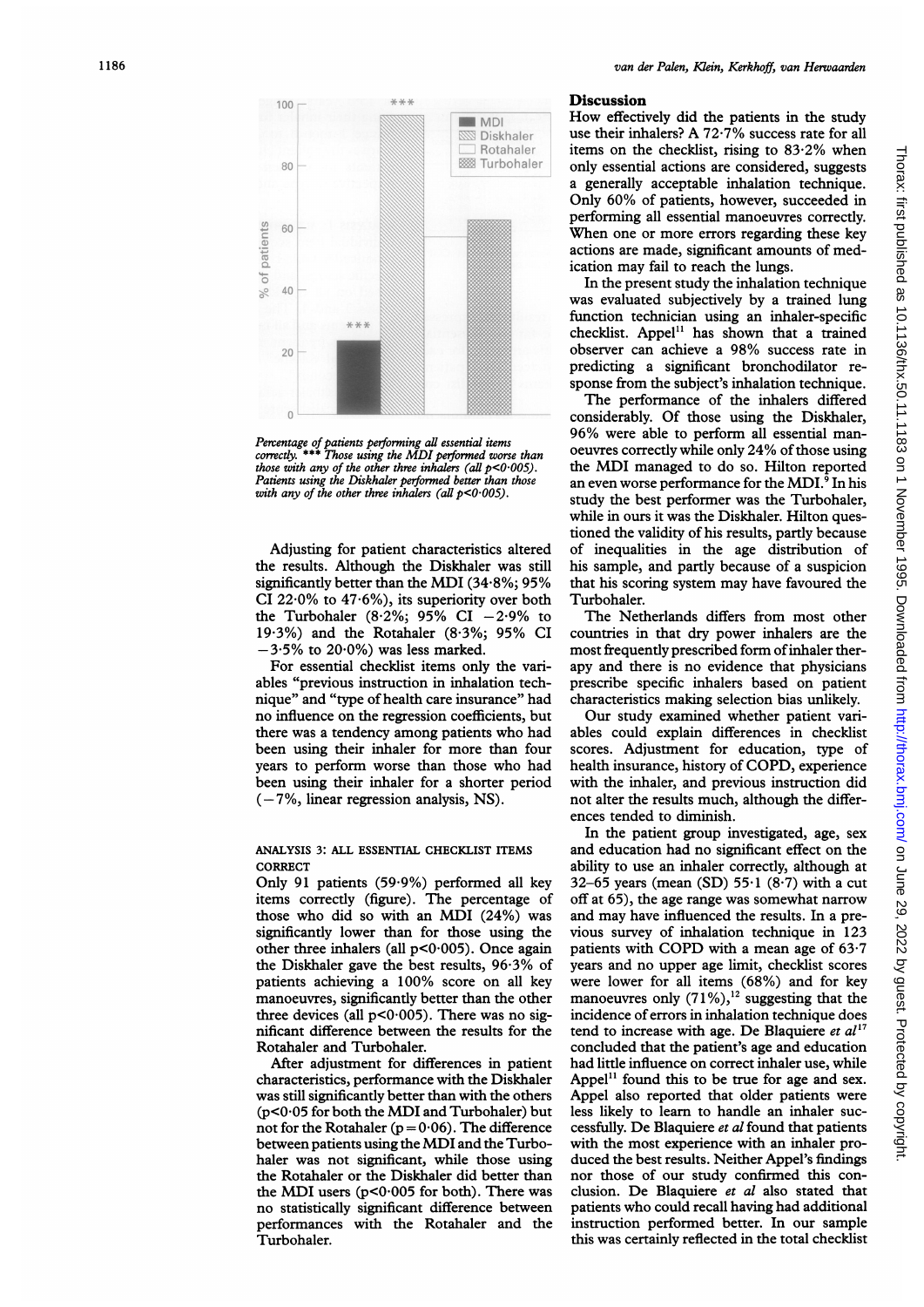

Percentage of patients performing all essential items<br>correctly. \*\*\* Those using the MDI performed worse than<br>those with any of the other three inhalers (all p<0·005). Patients using the Diskhaler performed better than those<br>with any of the other three inhalers (all p<0·005).

Adjusting for patient characteristics altered the results. Although the Diskhaler was still significantly better than the MDI (34-8%; 95% CI 22 $\cdot$ 0% to 47 $\cdot$ 6%), its superiority over both the Turbohaler (8.2%; 95% CI  $-2.9%$  to 19-3%) and the Rotahaler (8-3%; 95% CI  $-3.5\%$  to 20.0%) was less marked.

For essential checklist items only the variables "previous instruction in inhalation technique" and "type of health care insurance" had no influence on the regression coefficients, but there was a tendency among patients who had been using their inhaler for more than four years to perform worse than those who had been using their inhaler for a shorter period  $(-7\%$ , linear regression analysis, NS).

# ANALYSIS 3: ALL ESSENTIAL CHECKLIST ITEMS **CORRECT**

Only 91 patients (59.9%) performed all key items correctly (figure). The percentage of those who did so with an MDI (24%) was significantly lower than for those using the other three inhalers (all  $p<0.005$ ). Once again the Diskhaler gave the best results, 96-3% of patients achieving a 100% score on all key manoeuvres, significantly better than the other three devices (all  $p<0.005$ ). There was no significant difference between the results for the Rotahaler and Turbohaler.

After adjustment for differences in patient characteristics, performance with the Diskhaler was still significantly better than with the others (p<0\*05 for both the MDI and Turbohaler) but not for the Rotahaler ( $p = 0.06$ ). The difference between patients using the MDI and the Turbohaler was not significant, while those using the Rotahaler or the Diskhaler did better than the MDI users  $(p<0.005$  for both). There was no statistically significant difference between performances with the Rotahaler and the Turbohaler.

#### **Discussion**

How effectively did the patients in the study use their inhalers? A 72-7% success rate for all items on the checklist, rising to 83-2% when only essential actions are considered, suggests a generally acceptable inhalation technique. Only 60% of patients, however, succeeded in performing all essential manoeuvres correctly. When one or more errors regarding these key actions are made, significant amounts of medication may fail to reach the lungs.

In the present study the inhalation technique was evaluated subjectively by a trained lung function technician using an inhaler-specific checklist. Appel" has shown that a trained observer can achieve <sup>a</sup> 98% success rate in predicting a significant bronchodilator response from the subject's inhalation technique.

The performance of the inhalers differed considerably. Of those using the Diskhaler, 96% were able to perform all essential manoeuvres correctly while only 24% of those using the MDI managed to do so. Hilton reported an even worse performance for the MDI. $9$  In his study the best performer was the Turbohaler, while in ours it was the Diskhaler. Hilton questioned the validity of his results, partly because of inequalities in the age distribution of his sample, and partly because of a suspicion that his scoring system may have favoured the Turbohaler.

The Netherlands differs from most other countries in that dry power inhalers are the most frequently prescribed form ofinhaler therapy and there is no evidence that physicians prescribe specific inhalers based on patient characteristics making selection bias unlikely.

Our study examined whether patient variables could explain differences in checklist scores. Adjustment for education, type of health insurance, history of COPD, experience with the inhaler, and previous instruction did not alter the results much, although the differences tended to diminish.

In the patient group investigated, age, sex and education had no significant effect on the ability to use an inhaler correctly, although at 32-65 years (mean (SD) 55-1 (8'7) with a cut off at 65), the age range was somewhat narrow and may have influenced the results. In a previous survey of inhalation technique in 123 patients with COPD with a mean age of 63'7 years and no upper age limit, checklist scores were lower for all items (68%) and for key manoeuvres only  $(71\%)$ ,<sup>12</sup> suggesting that the incidence of errors in inhalation technique does tend to increase with age. De Blaquiere et  $al^{17}$ concluded that the patient's age and education had little influence on correct inhaler use, while Appel $<sup>11</sup>$  found this to be true for age and sex.</sup> Appel also reported that older patients were less likely to learn to handle an inhaler successfully. De Blaquiere et al found that patients with the most experience with an inhaler produced the best results. Neither Appel's findings nor those of our study confirmed this conclusion. De Blaquiere et al also stated that patients who could recall having had additional instruction performed better. In our sample this was certainly reflected in the total checklist